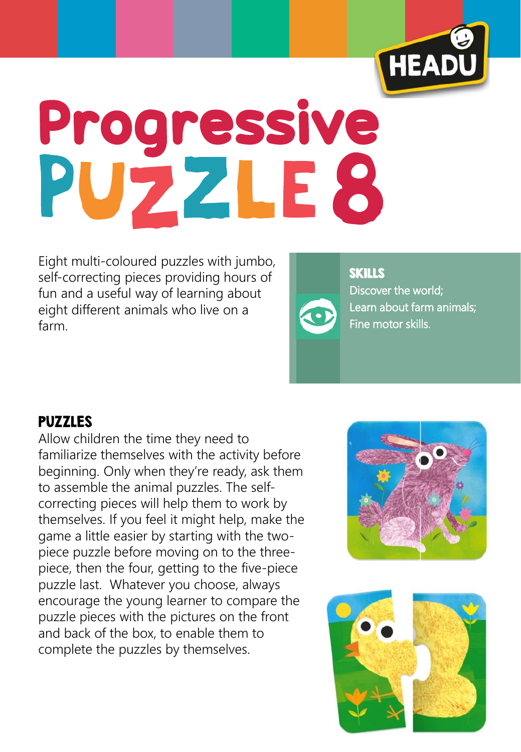

## Progressive<br>PUZZLE8

Eight multi-coloured puzzles with jumbo, self-correcting pieces providing hours of fun and a useful way of learning about eight different animals who live on a farm.



**SKILLS** Discover the world; Learn about farm animals; Fine motor skills.

## PUZZLES

Allow children the time they need to familiarize themselves with the activity before beginning. Only when they're ready, ask them to assemble the animal puzzles. The selfcorrecting pieces will help them to work by themselves. If you feel it might help, make the game a little easier by starting with the twopiece puzzle before moving on to the threepiece, then the four, getting to the five-piece puzzle last. Whatever you choose, always encourage the young learner to compare the puzzle pieces with the pictures on the front and back of the box, to enable them to complete the puzzles by themselves.